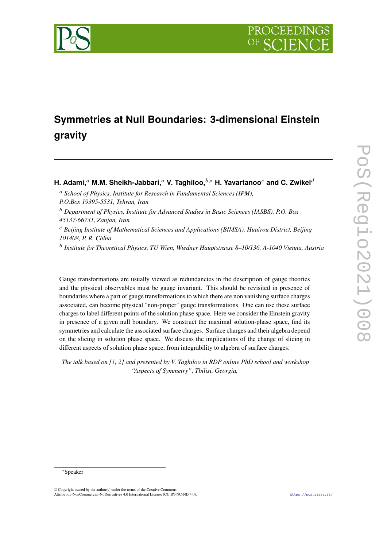

# **Symmetries at Null Boundaries: 3-dimensional Einstein gravity**

**H. Adami,**<sup>*a*</sup> **M.M. Sheikh-Jabbari,**<sup>*a*</sup> **V. Taghiloo,**<sup>*b*,\*</sup> **H. Yavartanoo**<sup>*c*</sup> and C. Zwikel<sup>*d*</sup>

- <sup>a</sup> School of Physics, Institute for Research in Fundamental Sciences (IPM), *P.O.Box 19395-5531, Tehran, Iran*
- <sup>𝑏</sup> *Department of Physics, Institute for Advanced Studies in Basic Sciences (IASBS), P.O. Box 45137-66731, Zanjan, Iran*

<sup>𝑐</sup> *Beijing Institute of Mathematical Sciences and Applications (BIMSA), Huairou District, Beijing 101408, P. R. China*

<sup>b</sup> Institute for Theoretical Physics, TU Wien, Wiedner Hauptstrasse 8–10/136, A-1040 Vienna, Austria

Gauge transformations are usually viewed as redundancies in the description of gauge theories and the physical observables must be gauge invariant. This should be revisited in presence of boundaries where a part of gauge transformations to which there are non vanishing surface charges associated, can become physical "non-proper" gauge transformations. One can use these surface charges to label different points of the solution phase space. Here we consider the Einstein gravity in presence of a given null boundary. We construct the maximal solution-phase space, find its symmetries and calculate the associated surface charges. Surface charges and their algebra depend on the slicing in solution phase space. We discuss the implications of the change of slicing in different aspects of solution phase space, from integrability to algebra of surface charges.

*The talk based on [\[1,](#page-5-0) [2\]](#page-5-1) and presented by V. Taghiloo in RDP online PhD school and workshop "Aspects of Symmetry", Tbilisi, Georgia,*

<sup>∗</sup>Speaker

<sup>©</sup> Copyright owned by the author(s) under the terms of the Creative Commons Attribution-NonCommercial-NoDerivatives 4.0 International License (CC BY-NC-ND 4.0). <https://pos.sissa.it/>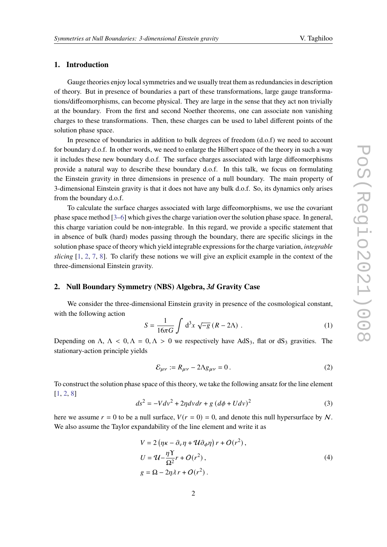### **1. Introduction**

Gauge theories enjoy local symmetries and we usually treat them as redundancies in description of theory. But in presence of boundaries a part of these transformations, large gauge transformations/diffeomorphisms, can become physical. They are large in the sense that they act non trivially at the boundary. From the first and second Noether theorems, one can associate non vanishing charges to these transformations. Then, these charges can be used to label different points of the solution phase space.

In presence of boundaries in addition to bulk degrees of freedom (d.o.f) we need to account for boundary d.o.f. In other words, we need to enlarge the Hilbert space of the theory in such a way it includes these new boundary d.o.f. The surface charges associated with large diffeomorphisms provide a natural way to describe these boundary d.o.f. In this talk, we focus on formulating the Einstein gravity in three dimensions in presence of a null boundary. The main property of 3-dimensional Einstein gravity is that it does not have any bulk d.o.f. So, its dynamics only arises from the boundary d.o.f.

To calculate the surface charges associated with large diffeomorphisms, we use the covariant phase space method [\[3–](#page-5-2)[6\]](#page-6-0) which gives the charge variation over the solution phase space. In general, this charge variation could be non-integrable. In this regard, we provide a specific statement that in absence of bulk (hard) modes passing through the boundary, there are specific slicings in the solution phase space of theory which yield integrable expressions for the charge variation, *integrable slicing* [\[1,](#page-5-0) [2,](#page-5-1) [7,](#page-6-1) [8\]](#page-6-2). To clarify these notions we will give an explicit example in the context of the three-dimensional Einstein gravity.

#### **2. Null Boundary Symmetry (NBS) Algebra,** *3d* **Gravity Case**

We consider the three-dimensional Einstein gravity in presence of the cosmological constant, with the following action

$$
S = \frac{1}{16\pi G} \int d^3x \sqrt{-g} (R - 2\Lambda) . \tag{1}
$$

Depending on  $\Lambda$ ,  $\Lambda$  < 0,  $\Lambda$  = 0,  $\Lambda$  > 0 we respectively have AdS<sub>3</sub>, flat or dS<sub>3</sub> gravities. The stationary-action principle yields

$$
\mathcal{E}_{\mu\nu} := R_{\mu\nu} - 2\Lambda g_{\mu\nu} = 0. \tag{2}
$$

To construct the solution phase space of this theory, we take the following ansatz for the line element [\[1,](#page-5-0) [2,](#page-5-1) [8\]](#page-6-2)

$$
ds^{2} = -Vdv^{2} + 2\eta dv dr + g \left(d\phi + Udv\right)^{2}
$$
\n(3)

here we assume  $r = 0$  to be a null surface,  $V(r = 0) = 0$ , and denote this null hypersurface by N. We also assume the Taylor expandability of the line element and write it as

$$
V = 2 (\eta \kappa - \partial_{\nu} \eta + \mathcal{U} \partial_{\phi} \eta) r + O(r^{2}),
$$
  
\n
$$
U = \mathcal{U} - \frac{\eta \Upsilon}{\Omega^{2}} r + O(r^{2}),
$$
  
\n
$$
g = \Omega - 2\eta \lambda r + O(r^{2}).
$$
\n(4)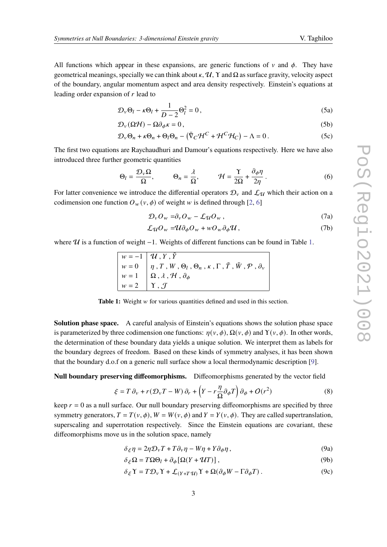All functions which appear in these expansions, are generic functions of  $\nu$  and  $\phi$ . They have geometrical meanings, specially we can think about  $\kappa$ ,  $\mathcal{U}$ ,  $\Upsilon$  and  $\Omega$  as surface gravity, velocity aspect of the boundary, angular momentum aspect and area density respectively. Einstein's equations at leading order expansion of  $r$  lead to

$$
\mathcal{D}_{\nu}\Theta_l - \kappa \Theta_l + \frac{1}{D-2}\Theta_l^2 = 0, \qquad (5a)
$$

$$
\mathcal{D}_{\nu}(\Omega \mathcal{H}) - \Omega \partial_{\phi} \kappa = 0, \qquad (5b)
$$

$$
\mathcal{D}_{\nu}\Theta_n + \kappa \Theta_n + \Theta_l \Theta_n - \left(\bar{\nabla}_C \mathcal{H}^C + \mathcal{H}^C \mathcal{H}_C\right) - \Lambda = 0. \tag{5c}
$$

The first two equations are Raychaudhuri and Damour's equations respectively. Here we have also introduced three further geometric quantities

$$
\Theta_l = \frac{\mathcal{D}_v \Omega}{\Omega}, \qquad \Theta_n = \frac{\lambda}{\Omega}, \qquad \mathcal{H} = \frac{\Upsilon}{2\Omega} + \frac{\partial_\phi \eta}{2\eta}.
$$
 (6)

For latter convenience we introduce the differential operators  $\mathcal{D}_{v}$  and  $\mathcal{L}_{\mathcal{U}}$  which their action on a codimension one function  $O_w(v, \phi)$  of weight w is defined through [\[2,](#page-5-1) [6\]](#page-6-0)

$$
\mathcal{D}_{\nu}O_{w}=\partial_{\nu}O_{w}-\mathcal{L}_{\mathcal{U}}O_{w},\qquad(7a)
$$

$$
\mathcal{L}_{\mathcal{U}}O_{w} = \mathcal{U}\partial_{\phi}O_{w} + wO_{w}\partial_{\phi}\mathcal{U}, \qquad (7b)
$$

<span id="page-2-0"></span>where  $U$  is a function of weight −[1.](#page-2-0) Weights of different functions can be found in Table 1.

|                                    | $w = -1$ $\mathcal{U}, Y, \tilde{Y}$                                                                     |
|------------------------------------|----------------------------------------------------------------------------------------------------------|
|                                    | $w = 0$ $ \eta, T, W, \Theta_l, \Theta_n, \kappa, \Gamma, \tilde{T}, \tilde{W}, \mathcal{P}, \partial_v$ |
|                                    | $w = 1 \mid \Omega, \lambda, \mathcal{H}, \partial_{\phi}$                                               |
| $w = 2 \mid \Upsilon, \mathcal{J}$ |                                                                                                          |

**Table 1:** Weight w for various quantities defined and used in this section.

**Solution phase space.** A careful analysis of Einstein's equations shows the solution phase space is parameterized by three codimension one functions:  $\eta(v, \phi)$ ,  $\Omega(v, \phi)$  and  $\Upsilon(v, \phi)$ . In other words, the determination of these boundary data yields a unique solution. We interpret them as labels for the boundary degrees of freedom. Based on these kinds of symmetry analyses, it has been shown that the boundary d.o.f on a generic null surface show a local thermodynamic description [\[9\]](#page-6-3).

**Null boundary preserving diffeomorphisms.** Diffeomorphisms generated by the vector field

<span id="page-2-1"></span>
$$
\xi = T \partial_v + r (\mathcal{D}_v T - W) \partial_r + \left( Y - r \frac{\eta}{\Omega} \partial_\phi T \right) \partial_\phi + O(r^2)
$$
\n(8)

keep  $r = 0$  as a null surface. Our null boundary preserving diffeomorphisms are specified by three symmetry generators,  $T = T(v, \phi)$ ,  $W = W(v, \phi)$  and  $Y = Y(v, \phi)$ . They are called supertranslation, superscaling and superrotation respectively. Since the Einstein equations are covariant, these diffeomorphisms move us in the solution space, namely

$$
\delta_{\xi}\eta = 2\eta \mathcal{D}_{\nu}T + T\partial_{\nu}\eta - W\eta + Y\partial_{\phi}\eta, \qquad (9a)
$$

$$
\delta_{\xi} \Omega = T \Omega \Theta_l + \partial_{\phi} [\Omega (Y + \mathcal{U}T)], \qquad (9b)
$$

$$
\delta_{\xi} \Upsilon = T \mathcal{D}_{\nu} \Upsilon + \mathcal{L}_{(Y+T\mathcal{U})} \Upsilon + \Omega (\partial_{\phi} W - \Gamma \partial_{\phi} T) . \tag{9c}
$$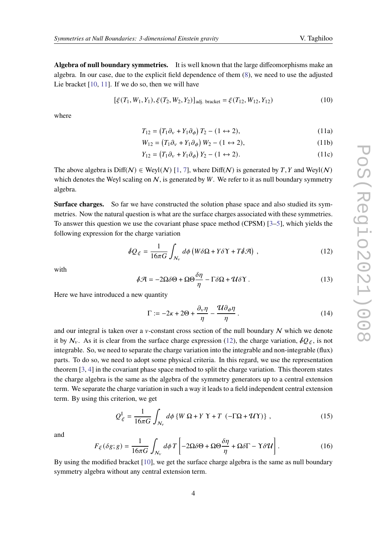**Algebra of null boundary symmetries.** It is well known that the large diffeomorphisms make an algebra. In our case, due to the explicit field dependence of them [\(8\)](#page-2-1), we need to use the adjusted Lie bracket  $[10, 11]$  $[10, 11]$  $[10, 11]$ . If we do so, then we will have

$$
[\xi(T_1, W_1, Y_1), \xi(T_2, W_2, Y_2)]_{\text{adj. bracket}} = \xi(T_{12}, W_{12}, Y_{12})
$$
\n(10)

where

$$
T_{12} = (T_1 \partial_v + Y_1 \partial_\phi) T_2 - (1 \leftrightarrow 2), \tag{11a}
$$

$$
W_{12} = (T_1 \partial_v + Y_1 \partial_\phi) W_2 - (1 \leftrightarrow 2), \tag{11b}
$$

$$
Y_{12} = (T_1 \partial_v + Y_1 \partial_\phi) Y_2 - (1 \leftrightarrow 2). \tag{11c}
$$

The above algebra is  $Diff(N) \in Weyl(\mathcal{N})$  [\[1,](#page-5-0) [7\]](#page-6-1), where  $Diff(N)$  is generated by T, Y and Weyl(N) which denotes the Weyl scaling on  $N$ , is generated by  $W$ . We refer to it as null boundary symmetry algebra.

**Surface charges.** So far we have constructed the solution phase space and also studied its symmetries. Now the natural question is what are the surface charges associated with these symmetries. To answer this question we use the covariant phase space method (CPSM) [\[3](#page-5-2)[–5\]](#page-6-6), which yields the following expression for the charge variation

<span id="page-3-0"></span>
$$
\oint Q_{\xi} = \frac{1}{16\pi G} \int_{N_{\nu}} d\phi \left( W \delta \Omega + Y \delta \Upsilon + T \delta \mathcal{A} \right) , \qquad (12)
$$

with

$$
\oint \mathcal{A} = -2\Omega \delta \Theta + \Omega \Theta \frac{\delta \eta}{\eta} - \Gamma \delta \Omega + \mathcal{U} \delta \Upsilon. \tag{13}
$$

Here we have introduced a new quantity

$$
\Gamma := -2\kappa + 2\Theta + \frac{\partial_v \eta}{\eta} - \frac{\mathcal{U}\partial_\phi \eta}{\eta} \,. \tag{14}
$$

and our integral is taken over a  $v$ -constant cross section of the null boundary  $N$  which we denote it by  $\mathcal{N}_v$ . As it is clear from the surface charge expression [\(12\)](#page-3-0), the charge variation,  $\oint Q_{\xi}$ , is not integrable. So, we need to separate the charge variation into the integrable and non-integrable (flux) parts. To do so, we need to adopt some physical criteria. In this regard, we use the representation theorem [\[3,](#page-5-2) [4\]](#page-5-3) in the covariant phase space method to split the charge variation. This theorem states the charge algebra is the same as the algebra of the symmetry generators up to a central extension term. We separate the charge variation in such a way it leads to a field independent central extension term. By using this criterion, we get

$$
Q_{\xi}^{I} = \frac{1}{16\pi G} \int_{N_{\nu}} d\phi \left\{ W \, \Omega + Y \, \Upsilon + T \, \left( -\Gamma \Omega + \mathcal{U} \Upsilon \right) \right\} \,, \tag{15}
$$

and

$$
F_{\xi}(\delta g; g) = \frac{1}{16\pi G} \int_{N_v} d\phi \, T \left[ -2\Omega \delta \Theta + \Omega \Theta \frac{\delta \eta}{\eta} + \Omega \delta \Gamma - \Upsilon \delta \mathcal{U} \right]. \tag{16}
$$

By using the modified bracket [\[10\]](#page-6-4), we get the surface charge algebra is the same as null boundary symmetry algebra without any central extension term.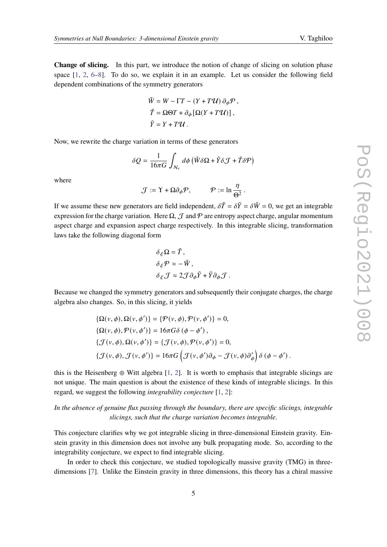**Change of slicing.** In this part, we introduce the notion of change of slicing on solution phase space [\[1,](#page-5-0) [2,](#page-5-1) [6–](#page-6-0)[8\]](#page-6-2). To do so, we explain it in an example. Let us consider the following field dependent combinations of the symmetry generators

$$
\tilde{W} = W - \Gamma T - (Y + T\mathcal{U}) \partial_{\phi} \mathcal{P},
$$
  
\n
$$
\tilde{T} = \Omega \Theta T + \partial_{\phi} [\Omega (Y + T\mathcal{U})],
$$
  
\n
$$
\tilde{Y} = Y + T\mathcal{U}.
$$

Now, we rewrite the charge variation in terms of these generators

$$
\delta Q = \frac{1}{16\pi G} \int_{\mathcal{N}_v} d\phi \left( \tilde{W} \delta \Omega + \tilde{Y} \delta \mathcal{J} + \tilde{T} \delta \mathcal{P} \right)
$$

where

$$
\mathcal{J} := \Upsilon + \Omega \partial_{\phi} \mathcal{P}, \qquad \mathcal{P} := \ln \frac{\eta}{\Theta^2}.
$$

If we assume these new generators are field independent,  $\delta \tilde{T} = \delta \tilde{Y} = \delta \tilde{W} = 0$ , we get an integrable expression for the charge variation. Here  $\Omega$ ,  $\mathcal J$  and  $\mathcal P$  are entropy aspect charge, angular momentum aspect charge and expansion aspect charge respectively. In this integrable slicing, transformation laws take the following diagonal form

$$
\delta_{\xi} \Omega = \tilde{T},
$$
  
\n
$$
\delta_{\xi} \mathcal{P} \approx -\tilde{W},
$$
  
\n
$$
\delta_{\xi} \mathcal{J} \approx 2 \mathcal{J} \partial_{\phi} \tilde{Y} + \tilde{Y} \partial_{\phi} \mathcal{J}.
$$

Because we changed the symmetry generators and subsequently their conjugate charges, the charge algebra also changes. So, in this slicing, it yields

$$
\{\Omega(v,\phi),\Omega(v,\phi')\} = \{\mathcal{P}(v,\phi),\mathcal{P}(v,\phi')\} = 0,
$$
  
\n
$$
\{\Omega(v,\phi),\mathcal{P}(v,\phi')\} = 16\pi G\delta(\phi-\phi'),
$$
  
\n
$$
\{ \mathcal{J}(v,\phi),\Omega(v,\phi')\} = \{ \mathcal{J}(v,\phi),\mathcal{P}(v,\phi')\} = 0,
$$
  
\n
$$
\{ \mathcal{J}(v,\phi),\mathcal{J}(v,\phi')\} = 16\pi G\left(\mathcal{J}(v,\phi')\partial_{\phi} - \mathcal{J}(v,\phi)\partial_{\phi}'\right)\delta(\phi-\phi').
$$

this is the Heisenberg  $\oplus$  Witt algebra [\[1,](#page-5-0) [2\]](#page-5-1). It is worth to emphasis that integrable slicings are not unique. The main question is about the existence of these kinds of integrable slicings. In this regard, we suggest the following *integrability conjecture* [\[1,](#page-5-0) [2\]](#page-5-1):

*In the absence of genuine flux passing through the boundary, there are specific slicings, integrable slicings, such that the charge variation becomes integrable.*

This conjecture clarifies why we got integrable slicing in three-dimensional Einstein gravity. Einstein gravity in this dimension does not involve any bulk propagating mode. So, according to the integrability conjecture, we expect to find integrable slicing.

In order to check this conjecture, we studied topologically massive gravity (TMG) in threedimensions [\[7\]](#page-6-1). Unlike the Einstein gravity in three dimensions, this theory has a chiral massive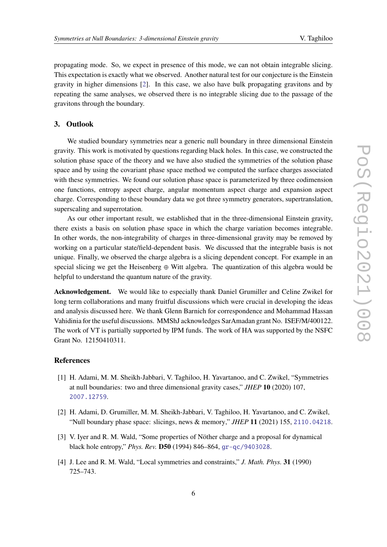propagating mode. So, we expect in presence of this mode, we can not obtain integrable slicing. This expectation is exactly what we observed. Another natural test for our conjecture is the Einstein gravity in higher dimensions [\[2\]](#page-5-1). In this case, we also have bulk propagating gravitons and by repeating the same analyses, we observed there is no integrable slicing due to the passage of the gravitons through the boundary.

## **3. Outlook**

We studied boundary symmetries near a generic null boundary in three dimensional Einstein gravity. This work is motivated by questions regarding black holes. In this case, we constructed the solution phase space of the theory and we have also studied the symmetries of the solution phase space and by using the covariant phase space method we computed the surface charges associated with these symmetries. We found our solution phase space is parameterized by three codimension one functions, entropy aspect charge, angular momentum aspect charge and expansion aspect charge. Corresponding to these boundary data we got three symmetry generators, supertranslation, superscaling and superrotation.

As our other important result, we established that in the three-dimensional Einstein gravity, there exists a basis on solution phase space in which the charge variation becomes integrable. In other words, the non-integrability of charges in three-dimensional gravity may be removed by working on a particular state/field-dependent basis. We discussed that the integrable basis is not unique. Finally, we observed the charge algebra is a slicing dependent concept. For example in an special slicing we get the Heisenberg  $\oplus$  Witt algebra. The quantization of this algebra would be helpful to understand the quantum nature of the gravity.

**Acknowledgement.** We would like to especially thank Daniel Grumiller and Celine Zwikel for long term collaborations and many fruitful discussions which were crucial in developing the ideas and analysis discussed here. We thank Glenn Barnich for correspondence and Mohammad Hassan Vahidinia for the useful discussions. MMShJ acknowledges SarAmadan grant No. ISEF/M/400122. The work of VT is partially supported by IPM funds. The work of HA was supported by the NSFC Grant No. 12150410311.

#### **References**

- <span id="page-5-0"></span>[1] H. Adami, M. M. Sheikh-Jabbari, V. Taghiloo, H. Yavartanoo, and C. Zwikel, "Symmetries at null boundaries: two and three dimensional gravity cases," *JHEP* **10** (2020) 107, [2007.12759](http://www.arXiv.org/abs/2007.12759).
- <span id="page-5-1"></span>[2] H. Adami, D. Grumiller, M. M. Sheikh-Jabbari, V. Taghiloo, H. Yavartanoo, and C. Zwikel, "Null boundary phase space: slicings, news & memory," *JHEP* **11** (2021) 155, [2110.04218](http://www.arXiv.org/abs/2110.04218).
- <span id="page-5-2"></span>[3] V. Iyer and R. M. Wald, "Some properties of Nöther charge and a proposal for dynamical black hole entropy," *Phys. Rev.* **D50** (1994) 846–864, [gr-qc/9403028](http://arXiv.org/abs/gr-qc/9403028).
- <span id="page-5-3"></span>[4] J. Lee and R. M. Wald, "Local symmetries and constraints," *J. Math. Phys.* **31** (1990) 725–743.